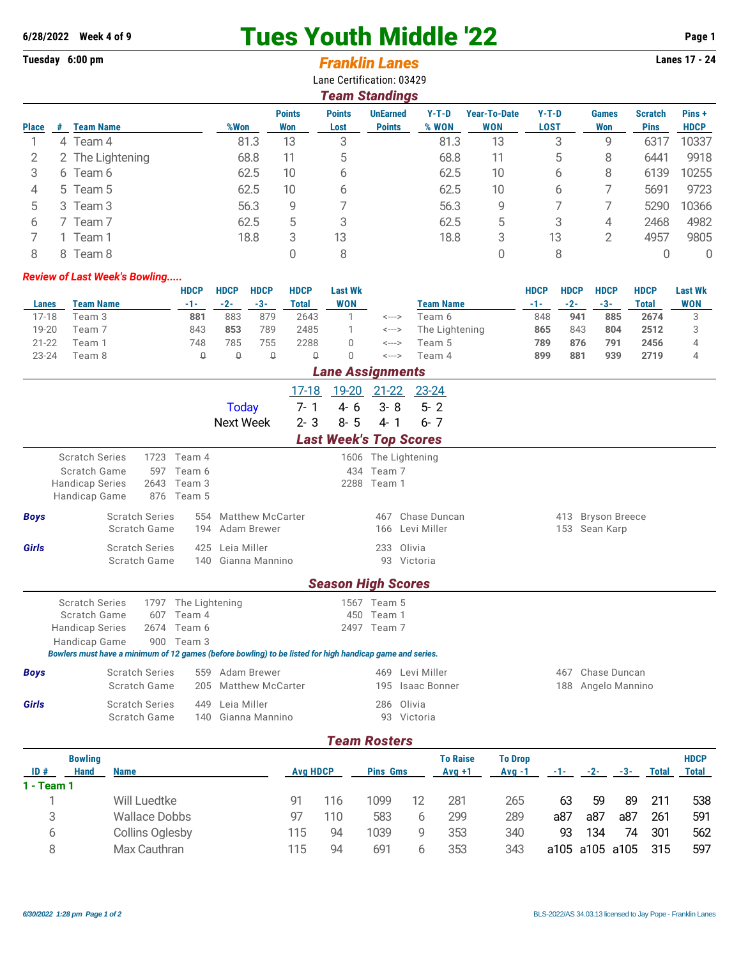## **6/28/2022 Week 4 of 9** Tues Youth Middle '22 **Page 1**

## **Tuesday 6:00 pm Lanes 17 - 24** *Franklin Lanes*

Lane Certification: 03429

|              | <b>Team Standings</b> |                  |      |                      |                       |                                  |                  |                            |                        |                            |                               |                      |  |  |
|--------------|-----------------------|------------------|------|----------------------|-----------------------|----------------------------------|------------------|----------------------------|------------------------|----------------------------|-------------------------------|----------------------|--|--|
| <b>Place</b> | #                     | <b>Team Name</b> | %Won | <b>Points</b><br>Won | <b>Points</b><br>Lost | <b>UnEarned</b><br><b>Points</b> | $Y-T-D$<br>% WON | Year-To-Date<br><b>WON</b> | $Y-T-D$<br><b>LOST</b> | <b>Games</b><br><b>Won</b> | <b>Scratch</b><br><b>Pins</b> | Pins+<br><b>HDCP</b> |  |  |
|              |                       | 4 Team 4         | 81.3 | 13                   | 3                     |                                  | 81.3             | 13                         | 3                      | 9                          | 6317                          | 10337                |  |  |
|              |                       | 2 The Lightening | 68.8 | 11                   | 5                     |                                  | 68.8             | 11                         | 5                      | 8                          | 6441                          | 9918                 |  |  |
| 3            |                       | 6 Team 6         | 62.5 | 10                   | b                     |                                  | 62.5             | 10                         | 6                      | 8                          | 6139                          | 10255                |  |  |
| 4            |                       | 5 Team 5         | 62.5 | 10 <sup>°</sup>      | b                     |                                  | 62.5             | 10 <sup>°</sup>            | 6                      |                            | 5691                          | 9723                 |  |  |
| 5            |                       | 3 Team 3         | 56.3 | 9                    |                       |                                  | 56.3             | 9                          |                        |                            | 5290                          | 10366                |  |  |
| 6            |                       | Team 7           | 62.5 | 5                    | 3                     |                                  | 62.5             | 5                          | 3                      | 4                          | 2468                          | 4982                 |  |  |
|              |                       | Team 1           | 18.8 | 3                    | 13                    |                                  | 18.8             | 3                          | 13                     | 2                          | 4957                          | 9805                 |  |  |
| 8            |                       | 8 Team 8         |      |                      | 8                     |                                  |                  |                            | 8                      |                            |                               | 0                    |  |  |

## *Review of Last Week's Bowling.....*

|           |                  | HDCP | <b>HDCP</b> | <b>HDCP</b> | <b>HDCP</b> | Last Wk                 |       |                  | <b>HDCP</b> | <b>HDCP</b> | <b>HDCP</b> | <b>HDCP</b> | <b>Last Wk</b> |
|-----------|------------------|------|-------------|-------------|-------------|-------------------------|-------|------------------|-------------|-------------|-------------|-------------|----------------|
| Lanes     | <b>Team Name</b> | -1-  | $-2-$       | $-3-$       | Total       | WON                     |       | <b>Team Name</b> | -1-         | $-2-$       | $-3-$       | Total       | <b>WON</b>     |
| $7 - 18$  | Team 3           | 881  | 883         | 879         | 2643        |                         | <---> | Геат 6           | 848         | 941         | 885         | 2674        |                |
| 19-20     | Team 7           | 843  | 853         | 789         | 2485        |                         | <---> | The Lightening   | 865         | 843         | 804         | 2512        |                |
| $21 - 22$ | Team 1           | 748  | 785         | 755         | 2288        |                         | <---> | Team 5           | 789         | 876         | 791         | 2456        |                |
| $23 - 24$ | Team 8           |      |             |             |             |                         | <---> | Team 4           | 899         | 881         | 939         | 2719        |                |
|           |                  |      |             |             |             | <b>Long Accidential</b> |       |                  |             |             |             |             |                |

|                  |                                                                                                                                                   |                                                     |                            |                                                       |                                            |                             | Lane Assignments                                                                |                                      |                                    |                             |                            |       |                    |              |                   |                             |  |
|------------------|---------------------------------------------------------------------------------------------------------------------------------------------------|-----------------------------------------------------|----------------------------|-------------------------------------------------------|--------------------------------------------|-----------------------------|---------------------------------------------------------------------------------|--------------------------------------|------------------------------------|-----------------------------|----------------------------|-------|--------------------|--------------|-------------------|-----------------------------|--|
|                  |                                                                                                                                                   |                                                     |                            |                                                       | <b>Today</b><br><b>Next Week</b>           | 17-18<br>$7 - 1$<br>$2 - 3$ | <u>19-20</u> 21-22 23-24<br>$4 - 6$<br>$8 - 5$<br><b>Last Week's Top Scores</b> | $3 - 8$<br>$4 - 1$                   | $5 - 2$<br>$6 - 7$                 |                             |                            |       |                    |              |                   |                             |  |
|                  | <b>Scratch Series</b><br>Scratch Game<br><b>Handicap Series</b><br>Handicap Game                                                                  |                                                     | 1723<br>597<br>2643<br>876 | Team 4<br>Team 6<br>Team 3<br>Team 5                  |                                            |                             |                                                                                 | 434 Team 7<br>2288 Team 1            | 1606 The Lightening                |                             |                            |       |                    |              |                   |                             |  |
| <b>Boys</b>      |                                                                                                                                                   | <b>Scratch Series</b><br>554<br>Scratch Game<br>194 |                            |                                                       | <b>Matthew McCarter</b><br>Adam Brewer     |                             |                                                                                 | 467<br>166                           | Chase Duncan<br>Levi Miller        |                             |                            |       | 153 Sean Karp      |              | 413 Bryson Breece |                             |  |
| <b>Girls</b>     |                                                                                                                                                   | <b>Scratch Series</b><br>Scratch Game               |                            | 425<br>140                                            | Leia Miller<br>Gianna Mannino              |                             |                                                                                 | 233                                  | Olivia<br>93 Victoria              |                             |                            |       |                    |              |                   |                             |  |
|                  |                                                                                                                                                   |                                                     |                            |                                                       |                                            |                             | <b>Season High Scores</b>                                                       |                                      |                                    |                             |                            |       |                    |              |                   |                             |  |
|                  | <b>Scratch Series</b><br>Scratch Game<br><b>Handicap Series</b><br>Handicap Game                                                                  |                                                     | 607<br>2674                | 1797 The Lightening<br>Team 4<br>Team 6<br>900 Team 3 |                                            |                             | 450                                                                             | 1567 Team 5<br>Team 1<br>2497 Team 7 |                                    |                             |                            |       |                    |              |                   |                             |  |
| <b>Boys</b>      | Bowlers must have a minimum of 12 games (before bowling) to be listed for high handicap game and series.<br><b>Scratch Series</b><br>Scratch Game |                                                     |                            | 205                                                   | 559 Adam Brewer<br><b>Matthew McCarter</b> |                             |                                                                                 | 469<br>195                           | Levi Miller<br><b>Isaac Bonner</b> |                             |                            | 467   | 188 Angelo Mannino | Chase Duncan |                   |                             |  |
| Girls            |                                                                                                                                                   | <b>Scratch Series</b><br>Scratch Game               |                            | 449                                                   | Leia Miller<br>140 Gianna Mannino          |                             |                                                                                 | 286                                  | Olivia<br>93 Victoria              |                             |                            |       |                    |              |                   |                             |  |
|                  |                                                                                                                                                   |                                                     |                            |                                                       |                                            |                             | <b>Team Rosters</b>                                                             |                                      |                                    |                             |                            |       |                    |              |                   |                             |  |
| ID#<br><u>т.</u> | <b>Bowling</b><br><b>Hand</b><br>$\overline{\phantom{a}}$                                                                                         | <b>Name</b>                                         |                            |                                                       |                                            | <b>Avg HDCP</b>             |                                                                                 | <b>Pins Gms</b>                      |                                    | <b>To Raise</b><br>$Avg +1$ | <b>To Drop</b><br>$Avg -1$ | $-1-$ | $-2-$              | $-3-$        | <b>Total</b>      | <b>HDCP</b><br><b>Total</b> |  |